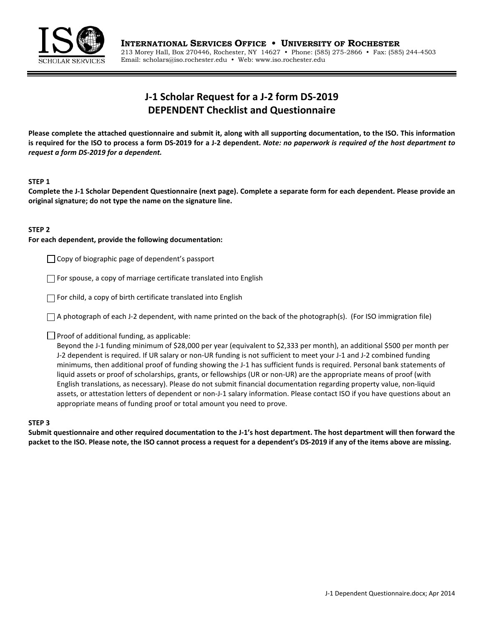

# **J-1 Scholar Request for a J-2 form DS-2019 DEPENDENT Checklist and Questionnaire**

**Please complete the attached questionnaire and submit it, along with all supporting documentation, to the ISO. This information is required for the ISO to process a form DS-2019 for a J-2 dependent.** *Note: no paperwork is required of the host department to request a form DS-2019 for a dependent.* 

#### **STEP 1**

**Complete the J-1 Scholar Dependent Questionnaire (next page). Complete a separate form for each dependent. Please provide an original signature; do not type the name on the signature line.**

### **STEP 2**

#### **For each dependent, provide the following documentation:**

 $\Box$  Copy of biographic page of dependent's passport

 $\Box$  For spouse, a copy of marriage certificate translated into English

 $\Box$  For child, a copy of birth certificate translated into English

 $\Box$  A photograph of each J-2 dependent, with name printed on the back of the photograph(s). (For ISO immigration file)

 $\Box$  Proof of additional funding, as applicable:

Beyond the J-1 funding minimum of \$28,000 per year (equivalent to \$2,333 per month), an additional \$500 per month per J-2 dependent is required. If UR salary or non-UR funding is not sufficient to meet your J-1 and J-2 combined funding minimums, then additional proof of funding showing the J-1 has sufficient funds is required. Personal bank statements of liquid assets or proof of scholarships, grants, or fellowships (UR or non-UR) are the appropriate means of proof (with English translations, as necessary). Please do not submit financial documentation regarding property value, non-liquid assets, or attestation letters of dependent or non-J-1 salary information. Please contact ISO if you have questions about an appropriate means of funding proof or total amount you need to prove.

## **STEP 3**

**Submit questionnaire and other required documentation to the J-1's host department. The host department will then forward the packet to the ISO. Please note, the ISO cannot process a request for a dependent's DS-2019 if any of the items above are missing.**